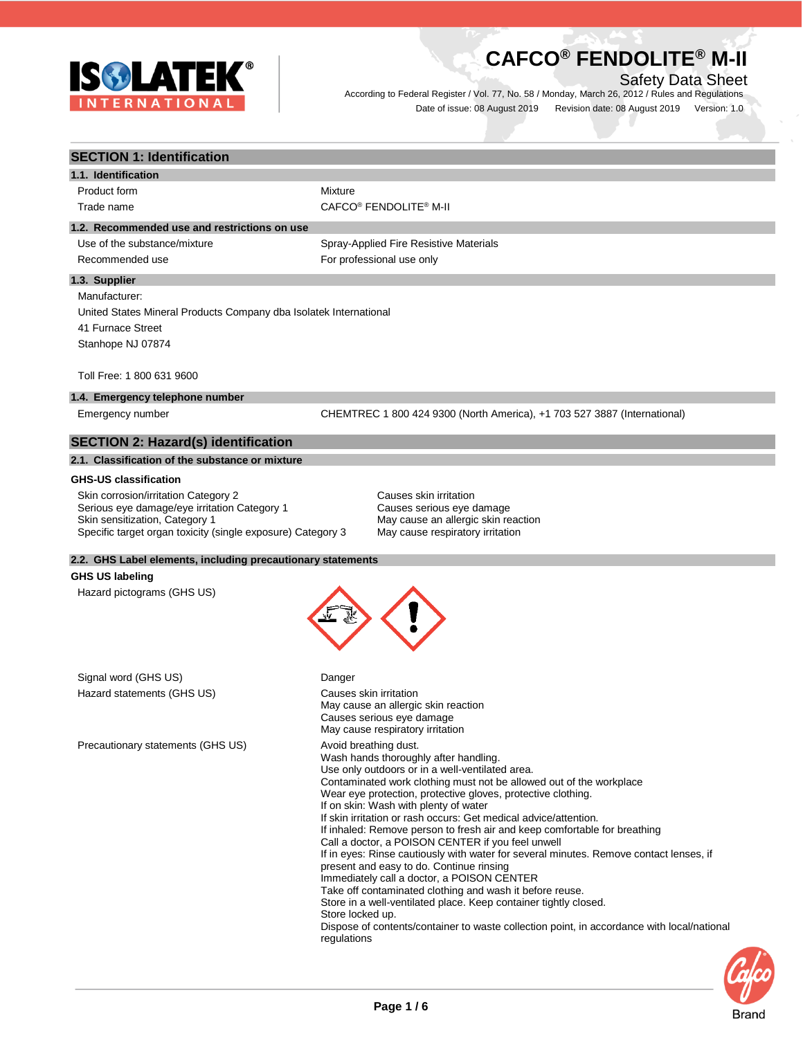

### Safety Data Sheet

According to Federal Register / Vol. 77, No. 58 / Monday, March 26, 2012 / Rules and Regulations Date of issue: 08 August 2019 Revision date: 08 August 2019 Version: 1.0

| <b>SECTION 1: Identification</b>                                                                                                                                                      |                                                                                                                                                                                                                                                                                                                                                                                                                                                                                                                                                                                                                                                                                                                                                                                                                                                                                                                                                              |
|---------------------------------------------------------------------------------------------------------------------------------------------------------------------------------------|--------------------------------------------------------------------------------------------------------------------------------------------------------------------------------------------------------------------------------------------------------------------------------------------------------------------------------------------------------------------------------------------------------------------------------------------------------------------------------------------------------------------------------------------------------------------------------------------------------------------------------------------------------------------------------------------------------------------------------------------------------------------------------------------------------------------------------------------------------------------------------------------------------------------------------------------------------------|
| 1.1. Identification                                                                                                                                                                   |                                                                                                                                                                                                                                                                                                                                                                                                                                                                                                                                                                                                                                                                                                                                                                                                                                                                                                                                                              |
| Product form                                                                                                                                                                          | Mixture                                                                                                                                                                                                                                                                                                                                                                                                                                                                                                                                                                                                                                                                                                                                                                                                                                                                                                                                                      |
| Trade name                                                                                                                                                                            | CAFCO <sup>®</sup> FENDOLITE <sup>®</sup> M-II                                                                                                                                                                                                                                                                                                                                                                                                                                                                                                                                                                                                                                                                                                                                                                                                                                                                                                               |
| 1.2. Recommended use and restrictions on use                                                                                                                                          |                                                                                                                                                                                                                                                                                                                                                                                                                                                                                                                                                                                                                                                                                                                                                                                                                                                                                                                                                              |
| Use of the substance/mixture                                                                                                                                                          | Spray-Applied Fire Resistive Materials                                                                                                                                                                                                                                                                                                                                                                                                                                                                                                                                                                                                                                                                                                                                                                                                                                                                                                                       |
| Recommended use                                                                                                                                                                       | For professional use only                                                                                                                                                                                                                                                                                                                                                                                                                                                                                                                                                                                                                                                                                                                                                                                                                                                                                                                                    |
| 1.3. Supplier                                                                                                                                                                         |                                                                                                                                                                                                                                                                                                                                                                                                                                                                                                                                                                                                                                                                                                                                                                                                                                                                                                                                                              |
| Manufacturer:<br>United States Mineral Products Company dba Isolatek International<br>41 Furnace Street<br>Stanhope NJ 07874                                                          |                                                                                                                                                                                                                                                                                                                                                                                                                                                                                                                                                                                                                                                                                                                                                                                                                                                                                                                                                              |
| Toll Free: 1 800 631 9600                                                                                                                                                             |                                                                                                                                                                                                                                                                                                                                                                                                                                                                                                                                                                                                                                                                                                                                                                                                                                                                                                                                                              |
| 1.4. Emergency telephone number                                                                                                                                                       |                                                                                                                                                                                                                                                                                                                                                                                                                                                                                                                                                                                                                                                                                                                                                                                                                                                                                                                                                              |
| Emergency number                                                                                                                                                                      | CHEMTREC 1 800 424 9300 (North America), +1 703 527 3887 (International)                                                                                                                                                                                                                                                                                                                                                                                                                                                                                                                                                                                                                                                                                                                                                                                                                                                                                     |
| <b>SECTION 2: Hazard(s) identification</b>                                                                                                                                            |                                                                                                                                                                                                                                                                                                                                                                                                                                                                                                                                                                                                                                                                                                                                                                                                                                                                                                                                                              |
| 2.1. Classification of the substance or mixture                                                                                                                                       |                                                                                                                                                                                                                                                                                                                                                                                                                                                                                                                                                                                                                                                                                                                                                                                                                                                                                                                                                              |
| <b>GHS-US classification</b>                                                                                                                                                          |                                                                                                                                                                                                                                                                                                                                                                                                                                                                                                                                                                                                                                                                                                                                                                                                                                                                                                                                                              |
| Skin corrosion/irritation Category 2<br>Serious eye damage/eye irritation Category 1<br>Skin sensitization, Category 1<br>Specific target organ toxicity (single exposure) Category 3 | Causes skin irritation<br>Causes serious eye damage<br>May cause an allergic skin reaction<br>May cause respiratory irritation                                                                                                                                                                                                                                                                                                                                                                                                                                                                                                                                                                                                                                                                                                                                                                                                                               |
| 2.2. GHS Label elements, including precautionary statements<br><b>GHS US labeling</b>                                                                                                 |                                                                                                                                                                                                                                                                                                                                                                                                                                                                                                                                                                                                                                                                                                                                                                                                                                                                                                                                                              |
| Hazard pictograms (GHS US)                                                                                                                                                            |                                                                                                                                                                                                                                                                                                                                                                                                                                                                                                                                                                                                                                                                                                                                                                                                                                                                                                                                                              |
| Signal word (GHS US)                                                                                                                                                                  | Danger                                                                                                                                                                                                                                                                                                                                                                                                                                                                                                                                                                                                                                                                                                                                                                                                                                                                                                                                                       |
| Hazard statements (GHS US)                                                                                                                                                            | Causes skin irritation<br>May cause an allergic skin reaction<br>Causes serious eye damage<br>May cause respiratory irritation                                                                                                                                                                                                                                                                                                                                                                                                                                                                                                                                                                                                                                                                                                                                                                                                                               |
| Precautionary statements (GHS US)                                                                                                                                                     | Avoid breathing dust.<br>Wash hands thoroughly after handling.<br>Use only outdoors or in a well-ventilated area.<br>Contaminated work clothing must not be allowed out of the workplace<br>Wear eye protection, protective gloves, protective clothing.<br>If on skin: Wash with plenty of water<br>If skin irritation or rash occurs: Get medical advice/attention.<br>If inhaled: Remove person to fresh air and keep comfortable for breathing<br>Call a doctor, a POISON CENTER if you feel unwell<br>If in eyes: Rinse cautiously with water for several minutes. Remove contact lenses, if<br>present and easy to do. Continue rinsing<br>Immediately call a doctor, a POISON CENTER<br>Take off contaminated clothing and wash it before reuse.<br>Store in a well-ventilated place. Keep container tightly closed.<br>Store locked up.<br>Dispose of contents/container to waste collection point, in accordance with local/national<br>regulations |

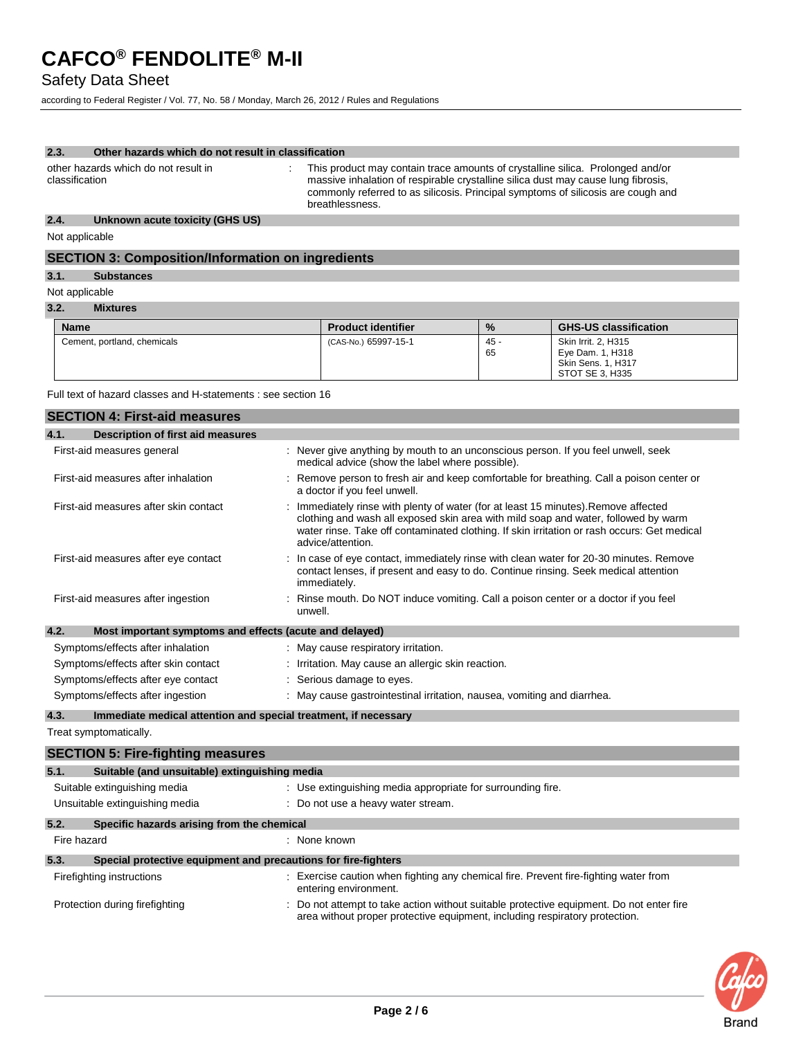## Safety Data Sheet

according to Federal Register / Vol. 77, No. 58 / Monday, March 26, 2012 / Rules and Regulations

#### **2.3. Other hazards which do not result in classification**

other hazards which do not result in classification : This product may contain trace amounts of crystalline silica. Prolonged and/or massive inhalation of respirable crystalline silica dust may cause lung fibrosis, commonly referred to as silicosis. Principal symptoms of silicosis are cough and breathlessness.

#### **2.4. Unknown acute toxicity (GHS US)**

Not applicable

#### **SECTION 3: Composition/Information on ingredients**

#### **3.1. Substances**

#### Not applicable

**3.2. Mixtures**

| <b>Name</b>                 | <b>Product identifier</b> | $\frac{9}{6}$ | <b>GHS-US classification</b> |
|-----------------------------|---------------------------|---------------|------------------------------|
| Cement, portland, chemicals | (CAS-No.) 65997-15-1      | $45 -$        | Skin Irrit. 2, H315          |
|                             |                           | 65            | Eye Dam. 1, H318             |
|                             |                           |               | Skin Sens. 1, H317           |
|                             |                           |               | STOT SE 3, H335              |

Full text of hazard classes and H-statements : see section 16

| <b>SECTION 4: First-aid measures</b>                            |                                                                                                                                                                                                                                                                                               |
|-----------------------------------------------------------------|-----------------------------------------------------------------------------------------------------------------------------------------------------------------------------------------------------------------------------------------------------------------------------------------------|
| Description of first aid measures<br>4.1.                       |                                                                                                                                                                                                                                                                                               |
| First-aid measures general                                      | : Never give anything by mouth to an unconscious person. If you feel unwell, seek<br>medical advice (show the label where possible).                                                                                                                                                          |
| First-aid measures after inhalation                             | : Remove person to fresh air and keep comfortable for breathing. Call a poison center or<br>a doctor if you feel unwell.                                                                                                                                                                      |
| First-aid measures after skin contact                           | : Immediately rinse with plenty of water (for at least 15 minutes). Remove affected<br>clothing and wash all exposed skin area with mild soap and water, followed by warm<br>water rinse. Take off contaminated clothing. If skin irritation or rash occurs: Get medical<br>advice/attention. |
| First-aid measures after eye contact                            | : In case of eye contact, immediately rinse with clean water for 20-30 minutes. Remove<br>contact lenses, if present and easy to do. Continue rinsing. Seek medical attention<br>immediately.                                                                                                 |
| First-aid measures after ingestion                              | : Rinse mouth. Do NOT induce vomiting. Call a poison center or a doctor if you feel<br>unwell.                                                                                                                                                                                                |
| 4.2.<br>Most important symptoms and effects (acute and delayed) |                                                                                                                                                                                                                                                                                               |
| Symptoms/effects after inhalation                               | : May cause respiratory irritation.                                                                                                                                                                                                                                                           |
| Symptoms/effects after skin contact                             | : Irritation. May cause an allergic skin reaction.                                                                                                                                                                                                                                            |
| Symptoms/effects after eye contact                              | : Serious damage to eyes.                                                                                                                                                                                                                                                                     |
| Symptoms/effects after ingestion                                | : May cause gastrointestinal irritation, nausea, vomiting and diarrhea.                                                                                                                                                                                                                       |

#### **4.3. Immediate medical attention and special treatment, if necessary**

Treat symptomatically.

|                                | <b>SECTION 5: Fire-fighting measures</b>                       |  |                                                                                                                                                                         |  |
|--------------------------------|----------------------------------------------------------------|--|-------------------------------------------------------------------------------------------------------------------------------------------------------------------------|--|
| 5.1.                           | Suitable (and unsuitable) extinguishing media                  |  |                                                                                                                                                                         |  |
|                                | Suitable extinguishing media                                   |  | : Use extinguishing media appropriate for surrounding fire.                                                                                                             |  |
| Unsuitable extinguishing media |                                                                |  | : Do not use a heavy water stream.                                                                                                                                      |  |
| 5.2.                           | Specific hazards arising from the chemical                     |  |                                                                                                                                                                         |  |
| Fire hazard                    |                                                                |  | : None known                                                                                                                                                            |  |
| 5.3.                           | Special protective equipment and precautions for fire-fighters |  |                                                                                                                                                                         |  |
|                                | Firefighting instructions                                      |  | : Exercise caution when fighting any chemical fire. Prevent fire-fighting water from<br>entering environment.                                                           |  |
|                                | Protection during firefighting                                 |  | : Do not attempt to take action without suitable protective equipment. Do not enter fire<br>area without proper protective equipment, including respiratory protection. |  |

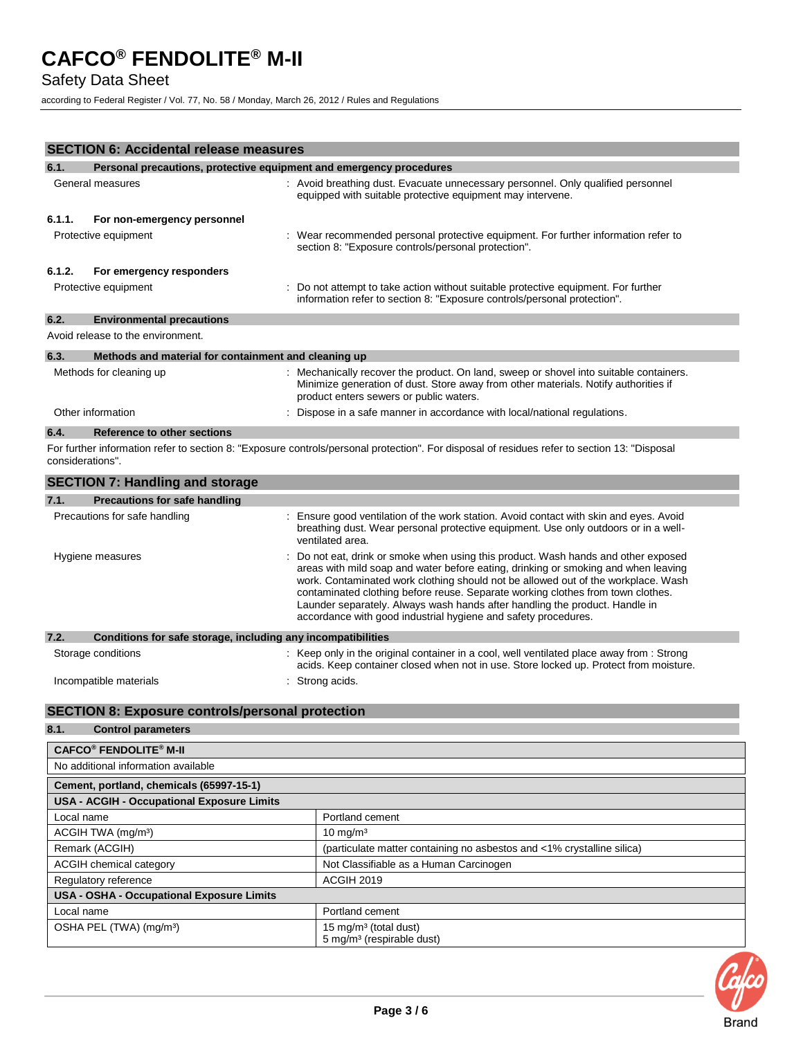# Safety Data Sheet

according to Federal Register / Vol. 77, No. 58 / Monday, March 26, 2012 / Rules and Regulations

|        | <b>SECTION 6: Accidental release measures</b>                       |                                                                                                                                                                                                                        |
|--------|---------------------------------------------------------------------|------------------------------------------------------------------------------------------------------------------------------------------------------------------------------------------------------------------------|
| 6.1.   | Personal precautions, protective equipment and emergency procedures |                                                                                                                                                                                                                        |
|        | General measures                                                    | : Avoid breathing dust. Evacuate unnecessary personnel. Only qualified personnel<br>equipped with suitable protective equipment may intervene.                                                                         |
| 6.1.1. | For non-emergency personnel                                         |                                                                                                                                                                                                                        |
|        | Protective equipment                                                | : Wear recommended personal protective equipment. For further information refer to<br>section 8: "Exposure controls/personal protection".                                                                              |
| 6.1.2. | For emergency responders                                            |                                                                                                                                                                                                                        |
|        | Protective equipment                                                | Do not attempt to take action without suitable protective equipment. For further<br>information refer to section 8: "Exposure controls/personal protection".                                                           |
| 6.2.   | <b>Environmental precautions</b>                                    |                                                                                                                                                                                                                        |
|        | Avoid release to the environment.                                   |                                                                                                                                                                                                                        |
| 6.3.   | Methods and material for containment and cleaning up                |                                                                                                                                                                                                                        |
|        | Methods for cleaning up                                             | Mechanically recover the product. On land, sweep or shovel into suitable containers.<br>Minimize generation of dust. Store away from other materials. Notify authorities if<br>product enters sewers or public waters. |
|        | Other information                                                   | Dispose in a safe manner in accordance with local/national regulations.                                                                                                                                                |
| 6.4.   | <b>Reference to other sections</b>                                  |                                                                                                                                                                                                                        |
|        | considerations".                                                    | For further information refer to section 8: "Exposure controls/personal protection". For disposal of residues refer to section 13: "Disposal                                                                           |
|        | <b>SECTION 7: Handling and storage</b>                              |                                                                                                                                                                                                                        |
| 7.1.   | <b>Precautions for safe handling</b>                                |                                                                                                                                                                                                                        |
|        | Precautions for safe handling                                       | : Ensure good ventilation of the work station. Avoid contact with skin and eyes. Avoid<br>breathing dust. Wear personal protective equipment. Use only outdoors or in a well-<br>ventilated area.                      |
|        | Hygiene measures                                                    | : Do not eat, drink or smoke when using this product. Wash hands and other exposed                                                                                                                                     |

|      | <b>TIVAIOITO IIIOQUATUO</b>                                  | <u>DO HOL OUI, UMMIN OF UMONO WHOM USING MID PROUDLE WUONTHUMOU UMO OMOR OAPOUGU</u><br>areas with mild soap and water before eating, drinking or smoking and when leaving<br>work. Contaminated work clothing should not be allowed out of the workplace. Wash<br>contaminated clothing before reuse. Separate working clothes from town clothes.<br>Launder separately. Always wash hands after handling the product. Handle in<br>accordance with good industrial hygiene and safety procedures. |
|------|--------------------------------------------------------------|-----------------------------------------------------------------------------------------------------------------------------------------------------------------------------------------------------------------------------------------------------------------------------------------------------------------------------------------------------------------------------------------------------------------------------------------------------------------------------------------------------|
| 7.2. | Conditions for safe storage, including any incompatibilities |                                                                                                                                                                                                                                                                                                                                                                                                                                                                                                     |
|      | Storage conditions                                           | Keep only in the original container in a cool, well ventilated place away from : Strong                                                                                                                                                                                                                                                                                                                                                                                                             |

acids. Keep container closed when not in use. Store locked up. Protect from moisture.

### **SECTION 8: Exposure controls/personal protection**

Incompatible materials **incompatible materials incompatible materials incompatible** materials.

#### **8.1. Control parameters**

| <b>CAFCO<sup>®</sup> FENDOLITE<sup>®</sup> M-II</b> |                                                                            |  |  |
|-----------------------------------------------------|----------------------------------------------------------------------------|--|--|
| No additional information available                 |                                                                            |  |  |
| Cement, portland, chemicals (65997-15-1)            |                                                                            |  |  |
| USA - ACGIH - Occupational Exposure Limits          |                                                                            |  |  |
| Local name                                          | Portland cement                                                            |  |  |
| ACGIH TWA (mg/m <sup>3</sup> )                      | $10 \text{ mg/m}^3$                                                        |  |  |
| Remark (ACGIH)                                      | (particulate matter containing no asbestos and <1% crystalline silica)     |  |  |
| ACGIH chemical category                             | Not Classifiable as a Human Carcinogen                                     |  |  |
| Regulatory reference                                | <b>ACGIH 2019</b>                                                          |  |  |
| <b>USA - OSHA - Occupational Exposure Limits</b>    |                                                                            |  |  |
| Local name                                          | Portland cement                                                            |  |  |
| OSHA PEL (TWA) (mg/m <sup>3</sup> )                 | 15 mg/m <sup>3</sup> (total dust)<br>5 mg/m <sup>3</sup> (respirable dust) |  |  |

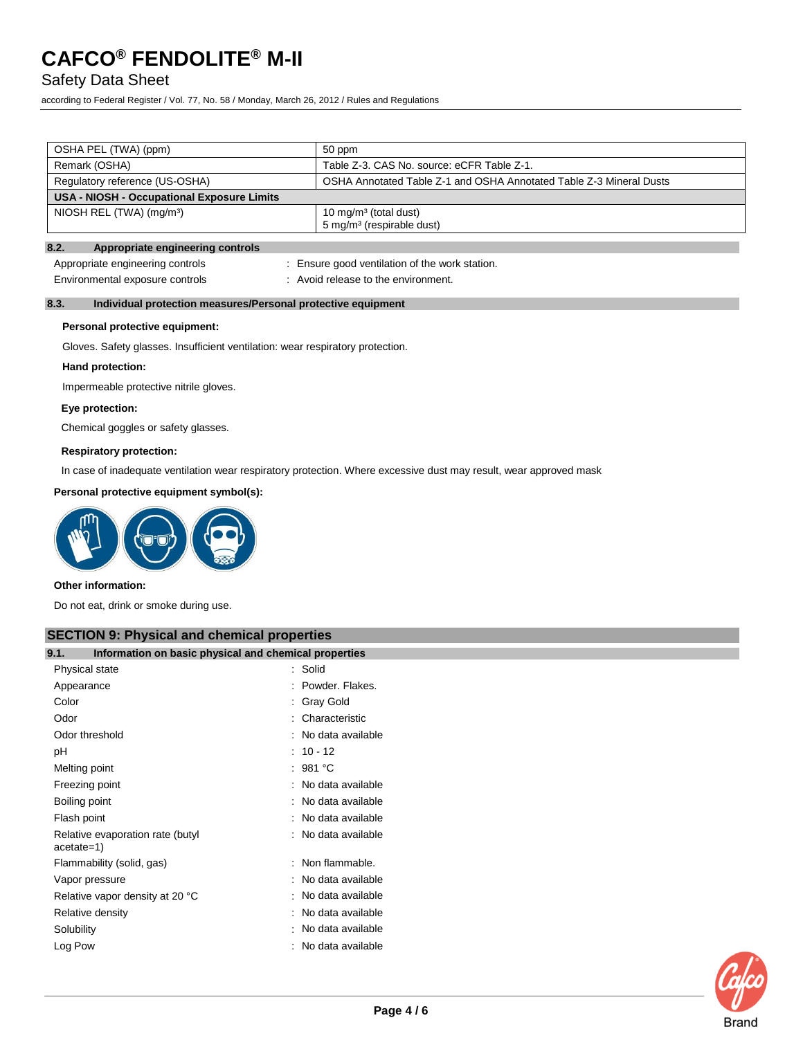### Safety Data Sheet

according to Federal Register / Vol. 77, No. 58 / Monday, March 26, 2012 / Rules and Regulations

| OSHA PEL (TWA) (ppm)                       | 50 ppm                                                                     |
|--------------------------------------------|----------------------------------------------------------------------------|
| Remark (OSHA)                              | Table Z-3, CAS No. source: eCFR Table Z-1.                                 |
| Regulatory reference (US-OSHA)             | OSHA Annotated Table Z-1 and OSHA Annotated Table Z-3 Mineral Dusts        |
| USA - NIOSH - Occupational Exposure Limits |                                                                            |
| NIOSH REL (TWA) (mg/m <sup>3</sup> )       | 10 mg/m <sup>3</sup> (total dust)<br>5 mg/m <sup>3</sup> (respirable dust) |
|                                            |                                                                            |

#### **8.2. Appropriate engineering controls**

Appropriate engineering controls : Ensure good ventilation of the work station.

Environmental exposure controls : Avoid release to the environment.

#### **8.3. Individual protection measures/Personal protective equipment**

#### **Personal protective equipment:**

Gloves. Safety glasses. Insufficient ventilation: wear respiratory protection.

#### **Hand protection:**

Impermeable protective nitrile gloves.

#### **Eye protection:**

Chemical goggles or safety glasses.

#### **Respiratory protection:**

In case of inadequate ventilation wear respiratory protection. Where excessive dust may result, wear approved mask

#### **Personal protective equipment symbol(s):**



#### **Other information:**

Do not eat, drink or smoke during use.

#### **SECTION 9: Physical and chemical properties**

#### **9.1. Information on basic physical and chemical properties**

| Physical state                                 | Solid             |
|------------------------------------------------|-------------------|
| Appearance                                     | Powder, Flakes.   |
| Color                                          | Gray Gold         |
| Odor                                           | Characteristic    |
| Odor threshold                                 | No data available |
| рH                                             | $10 - 12$         |
| Melting point                                  | : 981 °C          |
| Freezing point                                 | No data available |
| Boiling point                                  | No data available |
| Flash point                                    | No data available |
| Relative evaporation rate (butyl<br>acetate=1) | No data available |
| Flammability (solid, gas)                      | Non flammable.    |
| Vapor pressure                                 | No data available |
| Relative vapor density at 20 °C                | No data available |
| Relative density                               | No data available |
| Solubility                                     | No data available |
| Log Pow                                        | No data available |

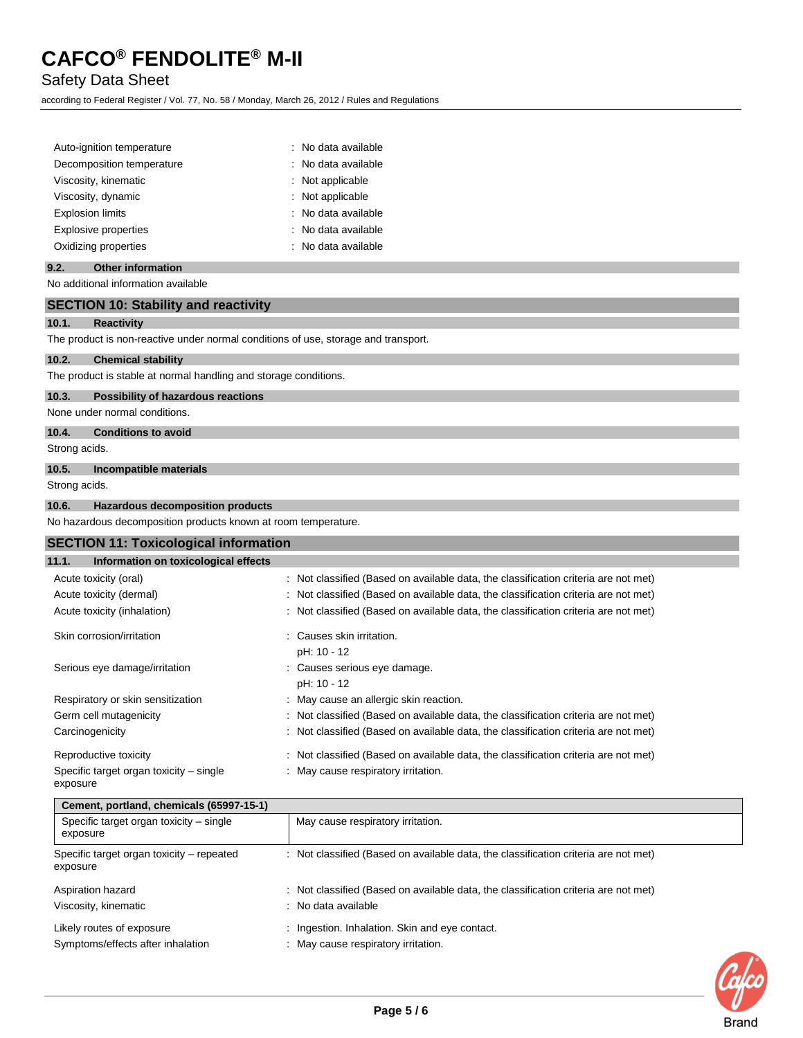## Safety Data Sheet

according to Federal Register / Vol. 77, No. 58 / Monday, March 26, 2012 / Rules and Regulations

| Auto-ignition temperature   | : No data available |
|-----------------------------|---------------------|
| Decomposition temperature   | : No data available |
| Viscosity, kinematic        | : Not applicable    |
| Viscosity, dynamic          | : Not applicable    |
| <b>Explosion limits</b>     | : No data available |
| <b>Explosive properties</b> | : No data available |
| Oxidizing properties        | : No data available |

#### **9.2. Other information**

No additional information available

#### **SECTION 10: Stability and reactivity**

#### **10.1. Reactivity**

The product is non-reactive under normal conditions of use, storage and transport.

#### **10.2. Chemical stability**

The product is stable at normal handling and storage conditions.

#### **10.3. Possibility of hazardous reactions**

None under normal conditions.

#### **10.4. Conditions to avoid**

Strong acids.

#### **10.5. Incompatible materials**

Strong acids.

exposure

#### **10.6. Hazardous decomposition products**

No hazardous decomposition products known at room temperature.

| <b>SECTION 11: Toxicological information</b>  |                                                                                     |  |
|-----------------------------------------------|-------------------------------------------------------------------------------------|--|
| Information on toxicological effects<br>11.1. |                                                                                     |  |
| Acute toxicity (oral)                         | : Not classified (Based on available data, the classification criteria are not met) |  |
| Acute toxicity (dermal)                       | : Not classified (Based on available data, the classification criteria are not met) |  |
| Acute toxicity (inhalation)                   | : Not classified (Based on available data, the classification criteria are not met) |  |
| Skin corrosion/irritation                     | : Causes skin irritation.                                                           |  |
|                                               | pH: 10 - 12                                                                         |  |
| Serious eye damage/irritation                 | : Causes serious eye damage.                                                        |  |
|                                               | pH: 10 - 12                                                                         |  |
| Respiratory or skin sensitization             | : May cause an allergic skin reaction.                                              |  |
| Germ cell mutagenicity                        | : Not classified (Based on available data, the classification criteria are not met) |  |
| Carcinogenicity                               | : Not classified (Based on available data, the classification criteria are not met) |  |
| Reproductive toxicity                         | : Not classified (Based on available data, the classification criteria are not met) |  |
| Specific target organ toxicity – single       | : May cause respiratory irritation.                                                 |  |

| Cement, portland, chemicals (65997-15-1)                       |                                                                                                            |  |  |  |
|----------------------------------------------------------------|------------------------------------------------------------------------------------------------------------|--|--|--|
| Specific target organ toxicity - single<br>exposure            | May cause respiratory irritation.                                                                          |  |  |  |
| Specific target organ toxicity – repeated<br>exposure          | : Not classified (Based on available data, the classification criteria are not met)                        |  |  |  |
| Aspiration hazard<br>Viscosity, kinematic                      | : Not classified (Based on available data, the classification criteria are not met)<br>: No data available |  |  |  |
| Likely routes of exposure<br>Symptoms/effects after inhalation | : Ingestion. Inhalation. Skin and eye contact.<br>: May cause respiratory irritation.                      |  |  |  |

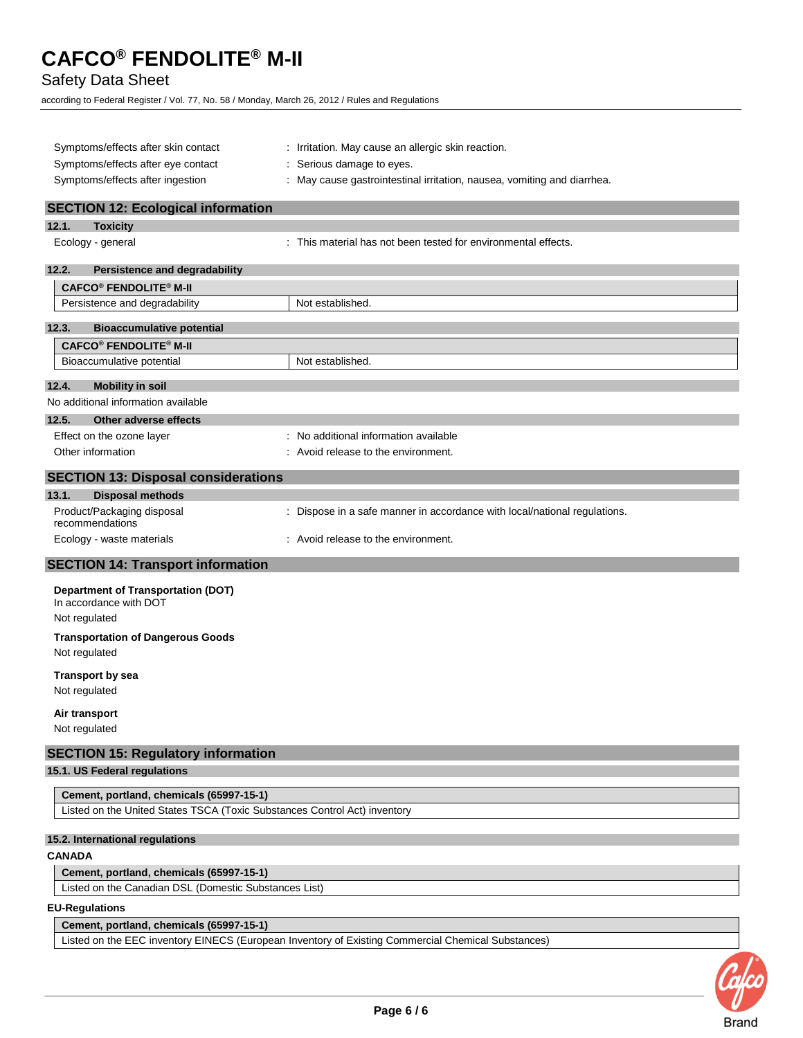# Safety Data Sheet

according to Federal Register / Vol. 77, No. 58 / Monday, March 26, 2012 / Rules and Regulations

| Symptoms/effects after skin contact                                                  | : Irritation. May cause an allergic skin reaction.                        |
|--------------------------------------------------------------------------------------|---------------------------------------------------------------------------|
| Symptoms/effects after eye contact                                                   | : Serious damage to eyes.                                                 |
| Symptoms/effects after ingestion                                                     | : May cause gastrointestinal irritation, nausea, vomiting and diarrhea.   |
| <b>SECTION 12: Ecological information</b>                                            |                                                                           |
| <b>Toxicity</b><br>12.1.                                                             |                                                                           |
| Ecology - general                                                                    | : This material has not been tested for environmental effects.            |
| 12.2.<br>Persistence and degradability                                               |                                                                           |
| <b>CAFCO<sup>®</sup> FENDOLITE<sup>®</sup> M-II</b>                                  |                                                                           |
| Persistence and degradability                                                        | Not established.                                                          |
| 12.3.<br><b>Bioaccumulative potential</b>                                            |                                                                           |
| <b>CAFCO<sup>®</sup> FENDOLITE<sup>®</sup> M-II</b>                                  |                                                                           |
| Bioaccumulative potential                                                            | Not established.                                                          |
| 12.4.<br><b>Mobility in soil</b>                                                     |                                                                           |
| No additional information available                                                  |                                                                           |
| 12.5.<br>Other adverse effects                                                       |                                                                           |
| Effect on the ozone layer                                                            | No additional information available                                       |
| Other information                                                                    | Avoid release to the environment.                                         |
| <b>SECTION 13: Disposal considerations</b>                                           |                                                                           |
| 13.1.<br><b>Disposal methods</b>                                                     |                                                                           |
| Product/Packaging disposal<br>recommendations                                        | : Dispose in a safe manner in accordance with local/national regulations. |
| Ecology - waste materials                                                            | : Avoid release to the environment.                                       |
| <b>SECTION 14: Transport information</b>                                             |                                                                           |
| <b>Department of Transportation (DOT)</b><br>In accordance with DOT<br>Not regulated |                                                                           |
| <b>Transportation of Dangerous Goods</b><br>Not regulated                            |                                                                           |
| <b>Transport by sea</b><br>Not regulated                                             |                                                                           |
| Air transport<br>Not regulated                                                       |                                                                           |
| <b>SECTION 15: Regulatory information</b>                                            |                                                                           |
| 15.1. US Federal regulations                                                         |                                                                           |
| Cement, portland, chemicals (65997-15-1)                                             |                                                                           |
| Listed on the United States TSCA (Toxic Substances Control Act) inventory            |                                                                           |
| 15.2. International regulations                                                      |                                                                           |
| <b>CANADA</b>                                                                        |                                                                           |
| Cement, portland, chemicals (65997-15-1)                                             |                                                                           |
| Listed on the Canadian DSL (Domestic Substances List)                                |                                                                           |
| <b>EU-Regulations</b>                                                                |                                                                           |
| Cement, portland, chemicals (65997-15-1)                                             |                                                                           |

Listed on the EEC inventory EINECS (European Inventory of Existing Commercial Chemical Substances)